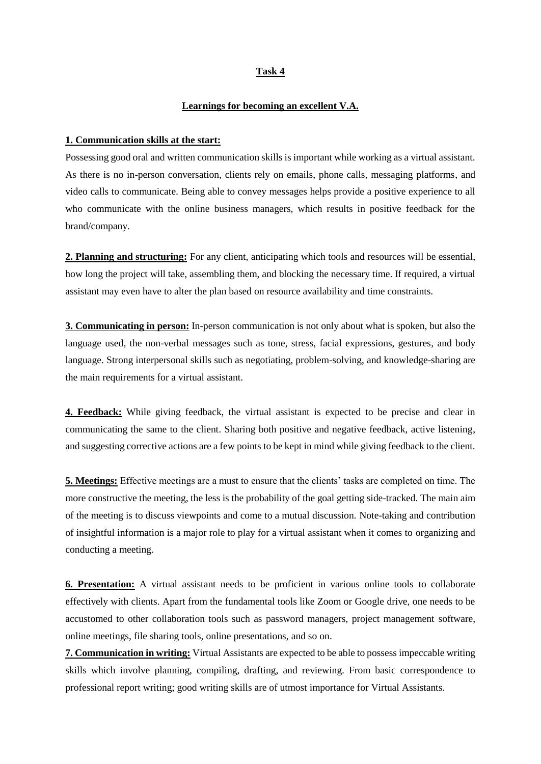## **Task 4**

## **Learnings for becoming an excellent V.A.**

## **1. Communication skills at the start:**

Possessing good oral and written communication skills is important while working as a virtual assistant. As there is no in-person conversation, clients rely on emails, phone calls, messaging platforms, and video calls to communicate. Being able to convey messages helps provide a positive experience to all who communicate with the online business managers, which results in positive feedback for the brand/company.

**2. Planning and structuring:** For any client, anticipating which tools and resources will be essential, how long the project will take, assembling them, and blocking the necessary time. If required, a virtual assistant may even have to alter the plan based on resource availability and time constraints.

**3. Communicating in person:** In-person communication is not only about what is spoken, but also the language used, the non-verbal messages such as tone, stress, facial expressions, gestures, and body language. Strong interpersonal skills such as negotiating, problem-solving, and knowledge-sharing are the main requirements for a virtual assistant.

**4. Feedback:** While giving feedback, the virtual assistant is expected to be precise and clear in communicating the same to the client. Sharing both positive and negative feedback, active listening, and suggesting corrective actions are a few points to be kept in mind while giving feedback to the client.

**5. Meetings:** Effective meetings are a must to ensure that the clients' tasks are completed on time. The more constructive the meeting, the less is the probability of the goal getting side-tracked. The main aim of the meeting is to discuss viewpoints and come to a mutual discussion. Note-taking and contribution of insightful information is a major role to play for a virtual assistant when it comes to organizing and conducting a meeting.

**6. Presentation:** A virtual assistant needs to be proficient in various online tools to collaborate effectively with clients. Apart from the fundamental tools like Zoom or Google drive, one needs to be accustomed to other collaboration tools such as password managers, project management software, online meetings, file sharing tools, online presentations, and so on.

**7. Communication in writing:** Virtual Assistants are expected to be able to possess impeccable writing skills which involve planning, compiling, drafting, and reviewing. From basic correspondence to professional report writing; good writing skills are of utmost importance for Virtual Assistants.